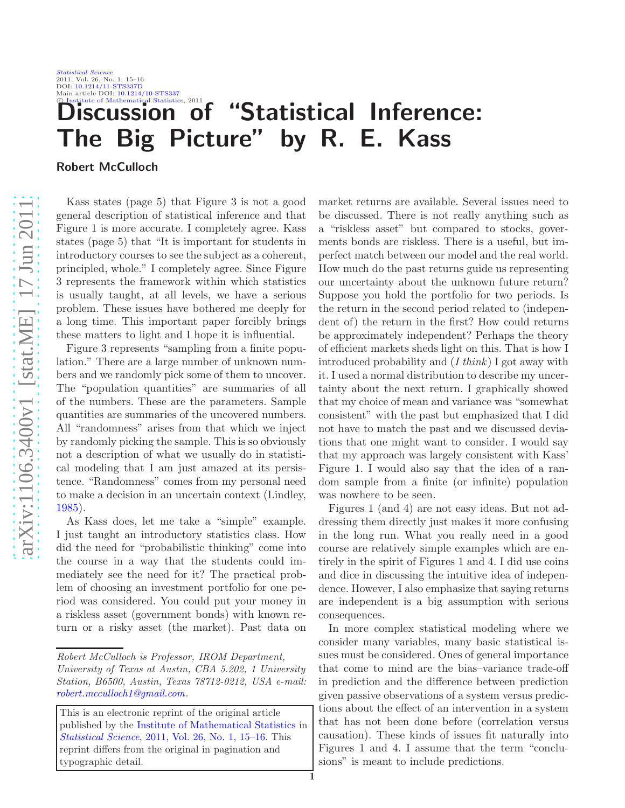[Statistical Science](http://www.imstat.org/sts/) 2011, Vol. 26, No. 1, 15–16 DOI: [10.1214/11-STS337D](http://dx.doi.org/10.1214/11-STS337D) Main article DOI: [10.1214/10-STS337](http://dx.doi.org/10.1214/10-STS337)<br>
C Institute of Mathematical Statistics, 2011

## iscussion of "Statistical Inference: The Big Picture" by R. E. Kass

Robert McCulloch

Kass states (page 5) that Figure 3 is not a good general description of statistical inference and that Figure 1 is more accurate. I completely agree. Kass states (page 5) that "It is important for students in introductory courses to see the subject as a coherent, principled, whole." I completely agree. Since Figure 3 represents the framework within which statistics is usually taught, at all levels, we have a serious problem. These issues have bothered me deeply for a long time. This important paper forcibly brings these matters to light and I hope it is influential.

Figure 3 represents "sampling from a finite population." There are a large number of unknown numbers and we randomly pick some of them to uncover. The "population quantities" are summaries of all of the numbers. These are the parameters. Sample quantities are summaries of the uncovered numbers. All "randomness" arises from that which we inject by randomly picking the sample. This is so obviously not a description of what we usually do in statistical modeling that I am just amazed at its persistence. "Randomness" comes from my personal need to make a decision in an uncertain context (Lindley, [1985\)](#page-1-0).

As Kass does, let me take a "simple" example. I just taught an introductory statistics class. How did the need for "probabilistic thinking" come into the course in a way that the students could immediately see the need for it? The practical problem of choosing an investment portfolio for one period was considered. You could put your money in a riskless asset (government bonds) with known return or a risky asset (the market). Past data on

*Robert McCulloch is Professor, IROM Department,*

market returns are available. Several issues need to be discussed. There is not really anything such as a "riskless asset" but compared to stocks, goverments bonds are riskless. There is a useful, but imperfect match between our model and the real world. How much do the past returns guide us representing our uncertainty about the unknown future return? Suppose you hold the portfolio for two periods. Is the return in the second period related to (independent of) the return in the first? How could returns be approximately independent? Perhaps the theory of efficient markets sheds light on this. That is how I introduced probability and (*I think*) I got away with it. I used a normal distribution to describe my uncertainty about the next return. I graphically showed that my choice of mean and variance was "somewhat consistent" with the past but emphasized that I did not have to match the past and we discussed deviations that one might want to consider. I would say that my approach was largely consistent with Kass' Figure 1. I would also say that the idea of a random sample from a finite (or infinite) population was nowhere to be seen.

Figures 1 (and 4) are not easy ideas. But not addressing them directly just makes it more confusing in the long run. What you really need in a good course are relatively simple examples which are entirely in the spirit of Figures 1 and 4. I did use coins and dice in discussing the intuitive idea of independence. However, I also emphasize that saying returns are independent is a big assumption with serious consequences.

In more complex statistical modeling where we consider many variables, many basic statistical issues must be considered. Ones of general importance that come to mind are the bias–variance trade-off in prediction and the difference between prediction given passive observations of a system versus predictions about the effect of an intervention in a system that has not been done before (correlation versus causation). These kinds of issues fit naturally into Figures 1 and 4. I assume that the term "conclusions" is meant to include predictions.

*University of Texas at Austin, CBA 5.202, 1 University Station, B6500, Austin, Texas 78712-0212, USA e-mail: [robert.mcculloch1@gmail.com](mailto:robert.mcculloch1@gmail.com) .*

This is an electronic reprint of the original article published by the [Institute of Mathematical Statistics](http://www.imstat.org) in *[Statistical Science](http://www.imstat.org/sts/)* , [2011, Vol. 26, No. 1, 15–16.](http://dx.doi.org/10.1214/11-STS337D) This reprint differs from the original in pagination and typographic detail.